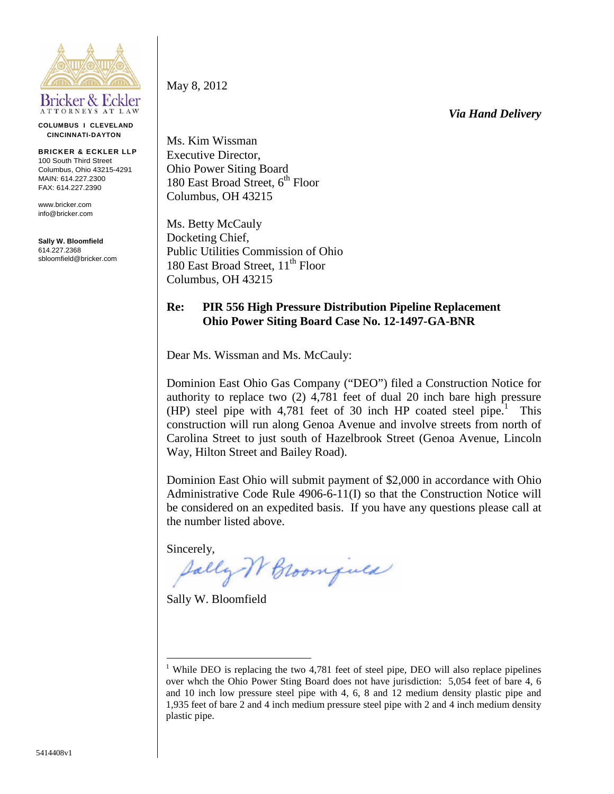

**COLUMBUS I CLEVELAND CINCINNATI-DAYTON**

**BRICKER & ECKLER LLP** 100 South Third Street Columbus, Ohio 43215-4291 MAIN: 614 227 2300 FAX: 614.227.2390

www.bricker.com info@bricker.com

**Sally W. Bloomfield** 614.227.2368 sbloomfield@bricker.com May 8, 2012

*Via Hand Delivery*

Ms. Kim Wissman Executive Director, Ohio Power Siting Board 180 East Broad Street,  $6^{th}$  Floor Columbus, OH 43215

Ms. Betty McCauly Docketing Chief, Public Utilities Commission of Ohio 180 East Broad Street, 11<sup>th</sup> Floor Columbus, OH 43215

## **Re: PIR 556 High Pressure Distribution Pipeline Replacement Ohio Power Siting Board Case No. 12-1497-GA-BNR**

Dear Ms. Wissman and Ms. McCauly:

Dominion East Ohio Gas Company ("DEO") filed a Construction Notice for authority to replace two (2) 4,781 feet of dual 20 inch bare high pressure (HP) steel pipe with 4,781 feet of 30 inch HP coated steel pipe.<sup>1</sup> This construction will run along Genoa Avenue and involve streets from north of Carolina Street to just south of Hazelbrook Street (Genoa Avenue, Lincoln Way, Hilton Street and Bailey Road).

Dominion East Ohio will submit payment of \$2,000 in accordance with Ohio Administrative Code Rule 4906-6-11(I) so that the Construction Notice will be considered on an expedited basis. If you have any questions please call at the number listed above.

Sincerely,

Sally W Broomfuld

Sally W. Bloomfield

<sup>&</sup>lt;sup>1</sup> While DEO is replacing the two 4,781 feet of steel pipe, DEO will also replace pipelines over whch the Ohio Power Sting Board does not have jurisdiction: 5,054 feet of bare 4, 6 and 10 inch low pressure steel pipe with 4, 6, 8 and 12 medium density plastic pipe and 1,935 feet of bare 2 and 4 inch medium pressure steel pipe with 2 and 4 inch medium density plastic pipe.